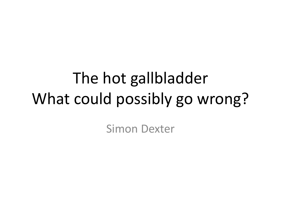# The hot gallbladder What could possibly go wrong?

Simon Dexter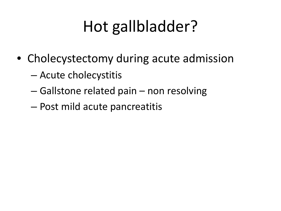# Hot gallbladder?

- Cholecystectomy during acute admission
	- Acute cholecystitis
	- Gallstone related pain non resolving
	- Post mild acute pancreatitis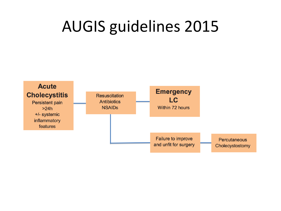## AUGIS guidelines 2015

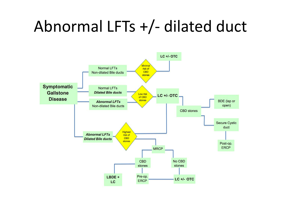## Abnormal LFTs +/- dilated duct

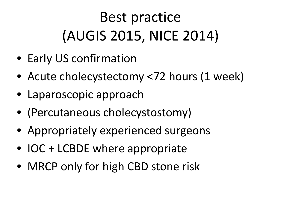# Best practice (AUGIS 2015, NICE 2014)

- Early US confirmation
- Acute cholecystectomy <72 hours (1 week)
- Laparoscopic approach
- (Percutaneous cholecystostomy)
- Appropriately experienced surgeons
- IOC + LCBDE where appropriate
- MRCP only for high CBD stone risk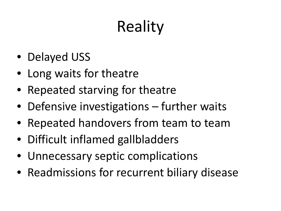# **Reality**

- Delayed USS
- Long waits for theatre
- Repeated starving for theatre
- Defensive investigations further waits
- Repeated handovers from team to team
- Difficult inflamed gallbladders
- Unnecessary septic complications
- Readmissions for recurrent biliary disease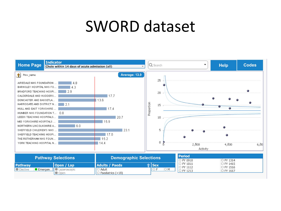#### SWORD dataset

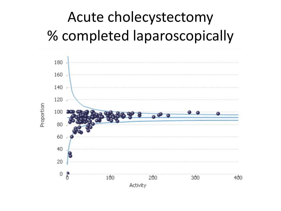### Acute cholecystectomy % completed laparoscopically

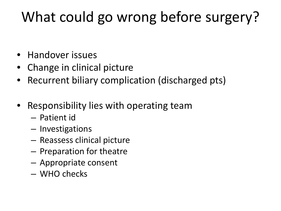### What could go wrong before surgery?

- Handover issues
- Change in clinical picture
- Recurrent biliary complication (discharged pts)
- Responsibility lies with operating team
	- Patient id
	- Investigations
	- Reassess clinical picture
	- Preparation for theatre
	- Appropriate consent
	- WHO checks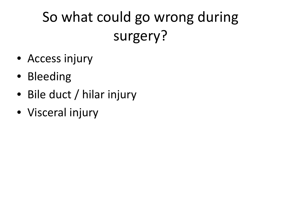## So what could go wrong during surgery?

- Access injury
- Bleeding
- Bile duct / hilar injury
- Visceral injury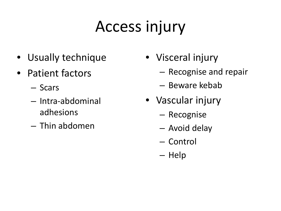# Access injury

- Usually technique
- Patient factors
	- Scars
	- Intra-abdominal adhesions
	- Thin abdomen
- Visceral injury
	- Recognise and repair
	- Beware kebab
- Vascular injury
	- Recognise
	- Avoid delay
	- Control
	- Help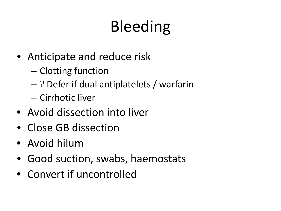# Bleeding

- Anticipate and reduce risk
	- Clotting function
	- ? Defer if dual antiplatelets / warfarin
	- Cirrhotic liver
- Avoid dissection into liver
- Close GB dissection
- Avoid hilum
- Good suction, swabs, haemostats
- Convert if uncontrolled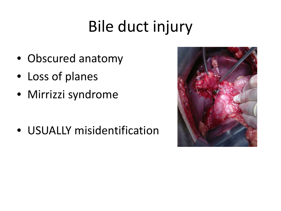# Bile duct injury

- Obscured anatomy
- Loss of planes
- Mirrizzi syndrome

• USUALLY misidentification

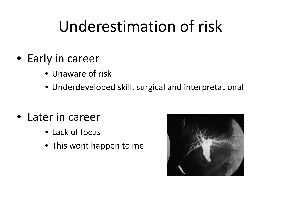## Underestimation of risk

- Early in career
	- Unaware of risk
	- Underdeveloped skill, surgical and interpretational
- Later in career
	- Lack of focus
	- This wont happen to me

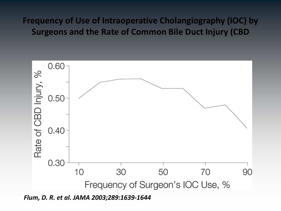#### **Frequency of Use of Intraoperative Cholangiography (IOC) by Surgeons and the Rate of Common Bile Duct Injury (CBD**



*Flum, D. R. et al. JAMA 2003;289:1639-1644*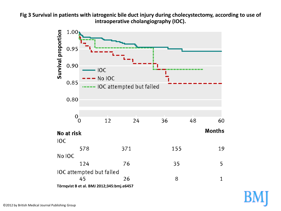**Fig 3 Survival in patients with iatrogenic bile duct injury during cholecystectomy, according to use of intraoperative cholangiography (IOC).** 

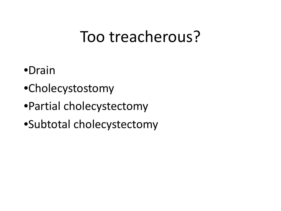### Too treacherous?

- •Drain
- •Cholecystostomy
- •Partial cholecystectomy
- •Subtotal cholecystectomy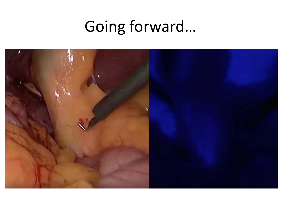# Going forward...

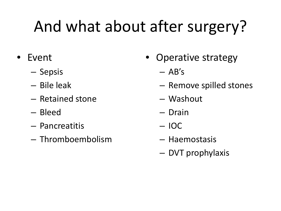# And what about after surgery?

- Event
	- Sepsis
	- Bile leak
	- Retained stone
	- Bleed
	- Pancreatitis
	- Thromboembolism
- Operative strategy
	- $-$  AB's
	- Remove spilled stones
	- Washout
	- Drain
	- IOC
	- Haemostasis
	- DVT prophylaxis